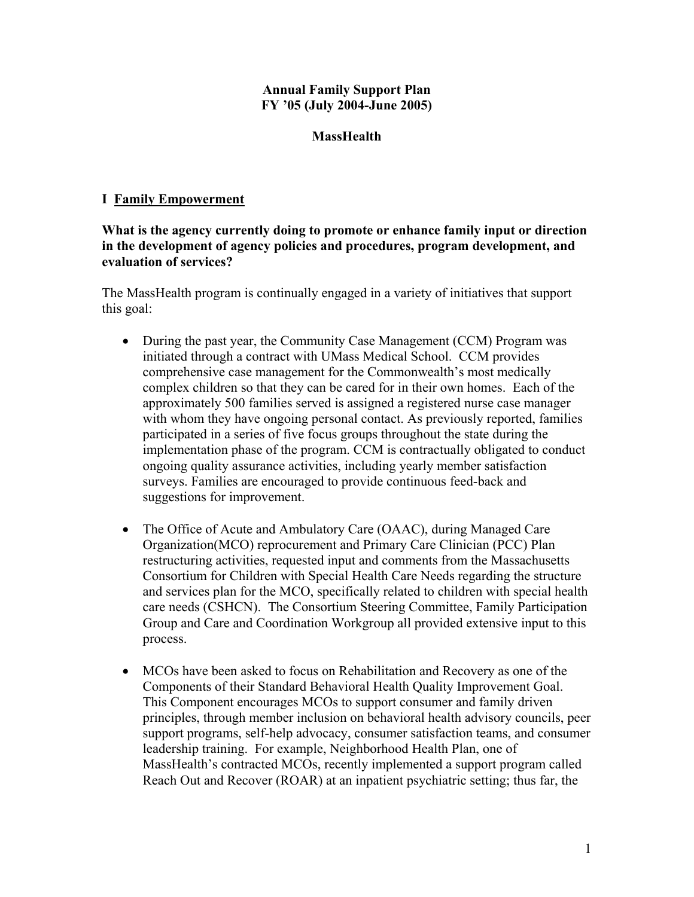#### **Annual Family Support Plan FY '05 (July 2004-June 2005)**

## **MassHealth**

## **I Family Empowerment**

## **What is the agency currently doing to promote or enhance family input or direction in the development of agency policies and procedures, program development, and evaluation of services?**

The MassHealth program is continually engaged in a variety of initiatives that support this goal:

- During the past year, the Community Case Management (CCM) Program was initiated through a contract with UMass Medical School. CCM provides comprehensive case management for the Commonwealth's most medically complex children so that they can be cared for in their own homes. Each of the approximately 500 families served is assigned a registered nurse case manager with whom they have ongoing personal contact. As previously reported, families participated in a series of five focus groups throughout the state during the implementation phase of the program. CCM is contractually obligated to conduct ongoing quality assurance activities, including yearly member satisfaction surveys. Families are encouraged to provide continuous feed-back and suggestions for improvement.
- The Office of Acute and Ambulatory Care (OAAC), during Managed Care Organization(MCO) reprocurement and Primary Care Clinician (PCC) Plan restructuring activities, requested input and comments from the Massachusetts Consortium for Children with Special Health Care Needs regarding the structure and services plan for the MCO, specifically related to children with special health care needs (CSHCN). The Consortium Steering Committee, Family Participation Group and Care and Coordination Workgroup all provided extensive input to this process.
- MCOs have been asked to focus on Rehabilitation and Recovery as one of the Components of their Standard Behavioral Health Quality Improvement Goal. This Component encourages MCOs to support consumer and family driven principles, through member inclusion on behavioral health advisory councils, peer support programs, self-help advocacy, consumer satisfaction teams, and consumer leadership training. For example, Neighborhood Health Plan, one of MassHealth's contracted MCOs, recently implemented a support program called Reach Out and Recover (ROAR) at an inpatient psychiatric setting; thus far, the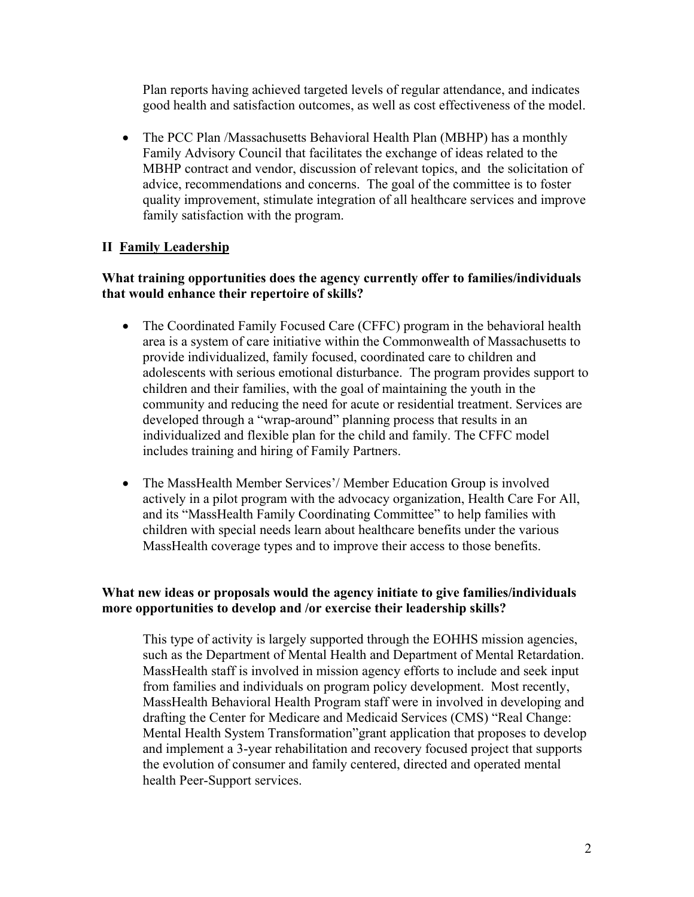Plan reports having achieved targeted levels of regular attendance, and indicates good health and satisfaction outcomes, as well as cost effectiveness of the model.

• The PCC Plan /Massachusetts Behavioral Health Plan (MBHP) has a monthly Family Advisory Council that facilitates the exchange of ideas related to the MBHP contract and vendor, discussion of relevant topics, and the solicitation of advice, recommendations and concerns. The goal of the committee is to foster quality improvement, stimulate integration of all healthcare services and improve family satisfaction with the program.

## **II Family Leadership**

### **What training opportunities does the agency currently offer to families/individuals that would enhance their repertoire of skills?**

- The Coordinated Family Focused Care (CFFC) program in the behavioral health area is a system of care initiative within the Commonwealth of Massachusetts to provide individualized, family focused, coordinated care to children and adolescents with serious emotional disturbance. The program provides support to children and their families, with the goal of maintaining the youth in the community and reducing the need for acute or residential treatment. Services are developed through a "wrap-around" planning process that results in an individualized and flexible plan for the child and family. The CFFC model includes training and hiring of Family Partners.
- The MassHealth Member Services'/ Member Education Group is involved actively in a pilot program with the advocacy organization, Health Care For All, and its "MassHealth Family Coordinating Committee" to help families with children with special needs learn about healthcare benefits under the various MassHealth coverage types and to improve their access to those benefits.

### **What new ideas or proposals would the agency initiate to give families/individuals more opportunities to develop and /or exercise their leadership skills?**

This type of activity is largely supported through the EOHHS mission agencies, such as the Department of Mental Health and Department of Mental Retardation. MassHealth staff is involved in mission agency efforts to include and seek input from families and individuals on program policy development. Most recently, MassHealth Behavioral Health Program staff were in involved in developing and drafting the Center for Medicare and Medicaid Services (CMS) "Real Change: Mental Health System Transformation"grant application that proposes to develop and implement a 3-year rehabilitation and recovery focused project that supports the evolution of consumer and family centered, directed and operated mental health Peer-Support services.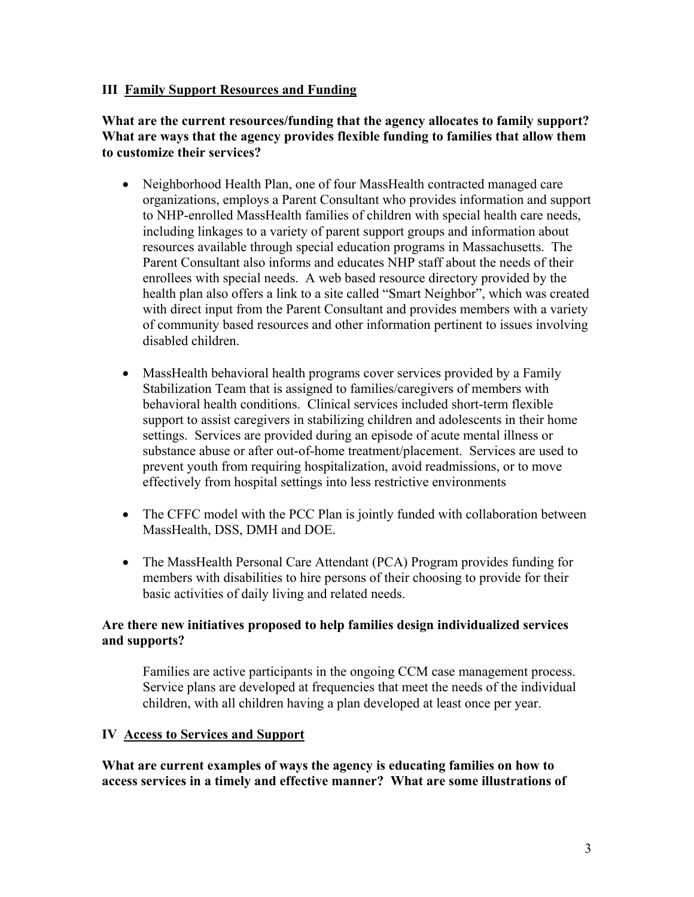### **III Family Support Resources and Funding**

#### **What are the current resources/funding that the agency allocates to family support? What are ways that the agency provides flexible funding to families that allow them to customize their services?**

- Neighborhood Health Plan, one of four MassHealth contracted managed care organizations, employs a Parent Consultant who provides information and support to NHP-enrolled MassHealth families of children with special health care needs, including linkages to a variety of parent support groups and information about resources available through special education programs in Massachusetts. The Parent Consultant also informs and educates NHP staff about the needs of their enrollees with special needs. A web based resource directory provided by the health plan also offers a link to a site called "Smart Neighbor", which was created with direct input from the Parent Consultant and provides members with a variety of community based resources and other information pertinent to issues involving disabled children.
- MassHealth behavioral health programs cover services provided by a Family Stabilization Team that is assigned to families/caregivers of members with behavioral health conditions. Clinical services included short-term flexible support to assist caregivers in stabilizing children and adolescents in their home settings. Services are provided during an episode of acute mental illness or substance abuse or after out-of-home treatment/placement. Services are used to prevent youth from requiring hospitalization, avoid readmissions, or to move effectively from hospital settings into less restrictive environments
- The CFFC model with the PCC Plan is jointly funded with collaboration between MassHealth, DSS, DMH and DOE.
- The MassHealth Personal Care Attendant (PCA) Program provides funding for members with disabilities to hire persons of their choosing to provide for their basic activities of daily living and related needs.

## **Are there new initiatives proposed to help families design individualized services and supports?**

Families are active participants in the ongoing CCM case management process. Service plans are developed at frequencies that meet the needs of the individual children, with all children having a plan developed at least once per year.

#### **IV Access to Services and Support**

**What are current examples of ways the agency is educating families on how to access services in a timely and effective manner? What are some illustrations of**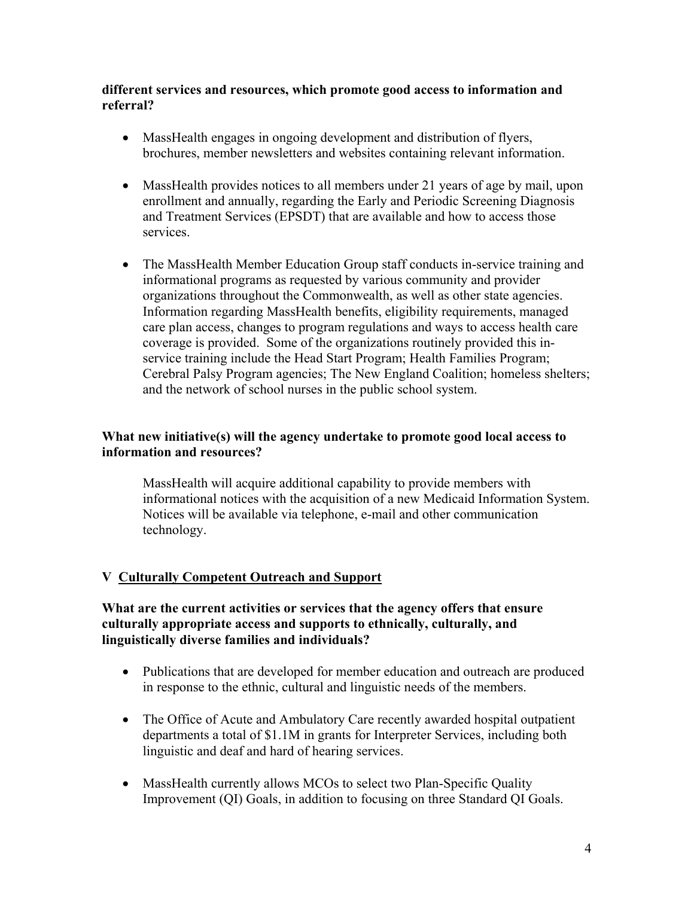### **different services and resources, which promote good access to information and referral?**

- MassHealth engages in ongoing development and distribution of flyers, brochures, member newsletters and websites containing relevant information.
- MassHealth provides notices to all members under 21 years of age by mail, upon enrollment and annually, regarding the Early and Periodic Screening Diagnosis and Treatment Services (EPSDT) that are available and how to access those services.
- The MassHealth Member Education Group staff conducts in-service training and informational programs as requested by various community and provider organizations throughout the Commonwealth, as well as other state agencies. Information regarding MassHealth benefits, eligibility requirements, managed care plan access, changes to program regulations and ways to access health care coverage is provided. Some of the organizations routinely provided this inservice training include the Head Start Program; Health Families Program; Cerebral Palsy Program agencies; The New England Coalition; homeless shelters; and the network of school nurses in the public school system.

## **What new initiative(s) will the agency undertake to promote good local access to information and resources?**

MassHealth will acquire additional capability to provide members with informational notices with the acquisition of a new Medicaid Information System. Notices will be available via telephone, e-mail and other communication technology.

# **V Culturally Competent Outreach and Support**

### **What are the current activities or services that the agency offers that ensure culturally appropriate access and supports to ethnically, culturally, and linguistically diverse families and individuals?**

- Publications that are developed for member education and outreach are produced in response to the ethnic, cultural and linguistic needs of the members.
- The Office of Acute and Ambulatory Care recently awarded hospital outpatient departments a total of \$1.1M in grants for Interpreter Services, including both linguistic and deaf and hard of hearing services.
- MassHealth currently allows MCOs to select two Plan-Specific Quality Improvement (QI) Goals, in addition to focusing on three Standard QI Goals.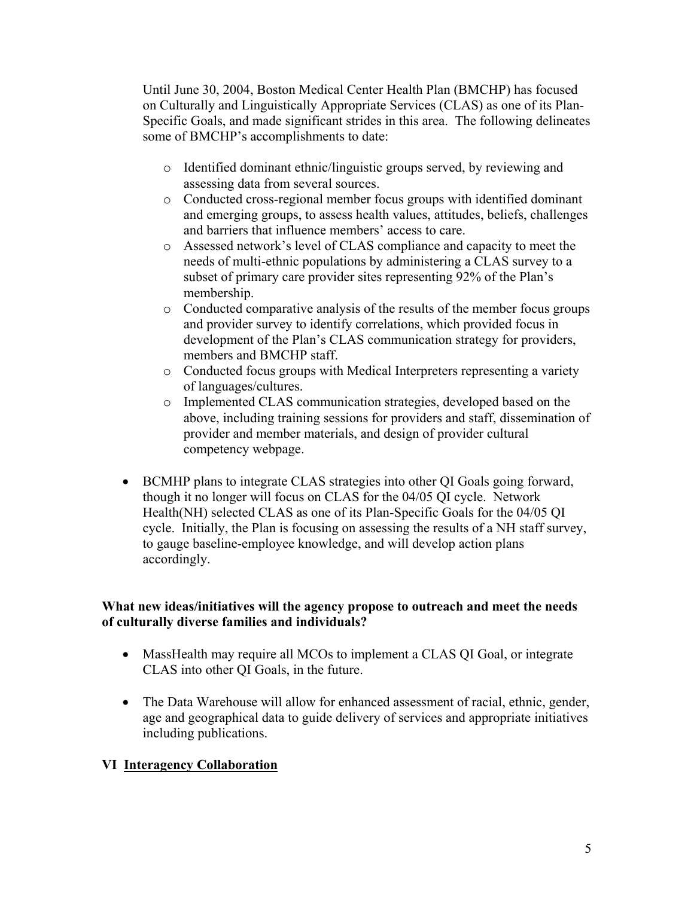Until June 30, 2004, Boston Medical Center Health Plan (BMCHP) has focused on Culturally and Linguistically Appropriate Services (CLAS) as one of its Plan-Specific Goals, and made significant strides in this area. The following delineates some of BMCHP's accomplishments to date:

- o Identified dominant ethnic/linguistic groups served, by reviewing and assessing data from several sources.
- o Conducted cross-regional member focus groups with identified dominant and emerging groups, to assess health values, attitudes, beliefs, challenges and barriers that influence members' access to care.
- o Assessed network's level of CLAS compliance and capacity to meet the needs of multi-ethnic populations by administering a CLAS survey to a subset of primary care provider sites representing 92% of the Plan's membership.
- $\circ$  Conducted comparative analysis of the results of the member focus groups and provider survey to identify correlations, which provided focus in development of the Plan's CLAS communication strategy for providers, members and BMCHP staff.
- o Conducted focus groups with Medical Interpreters representing a variety of languages/cultures.
- o Implemented CLAS communication strategies, developed based on the above, including training sessions for providers and staff, dissemination of provider and member materials, and design of provider cultural competency webpage.
- BCMHP plans to integrate CLAS strategies into other QI Goals going forward, though it no longer will focus on CLAS for the 04/05 QI cycle. Network Health(NH) selected CLAS as one of its Plan-Specific Goals for the 04/05 QI cycle. Initially, the Plan is focusing on assessing the results of a NH staff survey, to gauge baseline-employee knowledge, and will develop action plans accordingly.

## **What new ideas/initiatives will the agency propose to outreach and meet the needs of culturally diverse families and individuals?**

- MassHealth may require all MCOs to implement a CLAS QI Goal, or integrate CLAS into other QI Goals, in the future.
- The Data Warehouse will allow for enhanced assessment of racial, ethnic, gender, age and geographical data to guide delivery of services and appropriate initiatives including publications.

# **VI Interagency Collaboration**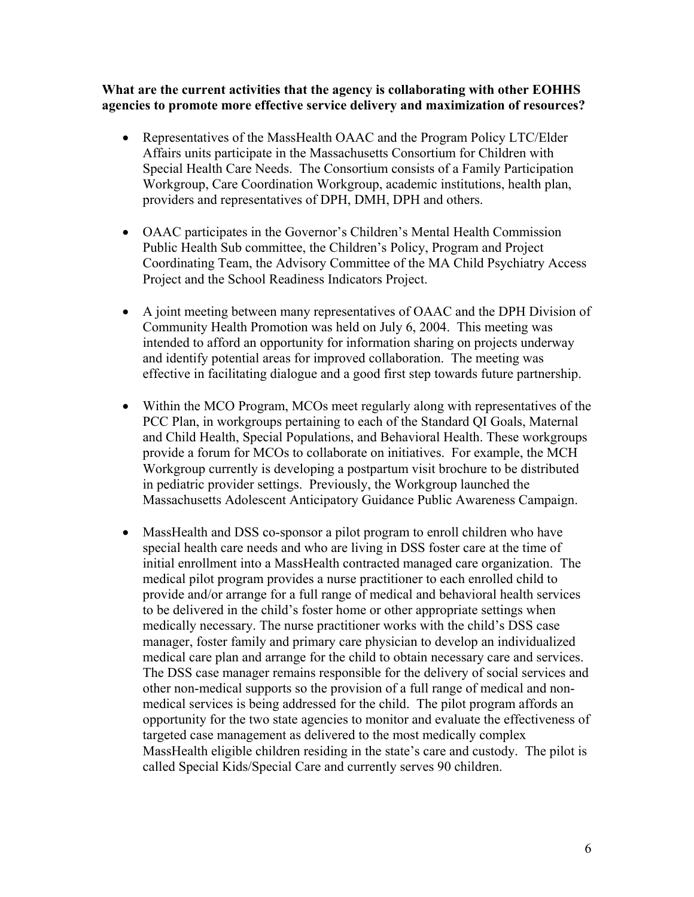**What are the current activities that the agency is collaborating with other EOHHS agencies to promote more effective service delivery and maximization of resources?** 

- Representatives of the MassHealth OAAC and the Program Policy LTC/Elder Affairs units participate in the Massachusetts Consortium for Children with Special Health Care Needs. The Consortium consists of a Family Participation Workgroup, Care Coordination Workgroup, academic institutions, health plan, providers and representatives of DPH, DMH, DPH and others.
- OAAC participates in the Governor's Children's Mental Health Commission Public Health Sub committee, the Children's Policy, Program and Project Coordinating Team, the Advisory Committee of the MA Child Psychiatry Access Project and the School Readiness Indicators Project.
- A joint meeting between many representatives of OAAC and the DPH Division of Community Health Promotion was held on July 6, 2004. This meeting was intended to afford an opportunity for information sharing on projects underway and identify potential areas for improved collaboration. The meeting was effective in facilitating dialogue and a good first step towards future partnership.
- Within the MCO Program, MCOs meet regularly along with representatives of the PCC Plan, in workgroups pertaining to each of the Standard QI Goals, Maternal and Child Health, Special Populations, and Behavioral Health. These workgroups provide a forum for MCOs to collaborate on initiatives. For example, the MCH Workgroup currently is developing a postpartum visit brochure to be distributed in pediatric provider settings. Previously, the Workgroup launched the Massachusetts Adolescent Anticipatory Guidance Public Awareness Campaign.
- MassHealth and DSS co-sponsor a pilot program to enroll children who have special health care needs and who are living in DSS foster care at the time of initial enrollment into a MassHealth contracted managed care organization. The medical pilot program provides a nurse practitioner to each enrolled child to provide and/or arrange for a full range of medical and behavioral health services to be delivered in the child's foster home or other appropriate settings when medically necessary. The nurse practitioner works with the child's DSS case manager, foster family and primary care physician to develop an individualized medical care plan and arrange for the child to obtain necessary care and services. The DSS case manager remains responsible for the delivery of social services and other non-medical supports so the provision of a full range of medical and nonmedical services is being addressed for the child. The pilot program affords an opportunity for the two state agencies to monitor and evaluate the effectiveness of targeted case management as delivered to the most medically complex MassHealth eligible children residing in the state's care and custody. The pilot is called Special Kids/Special Care and currently serves 90 children.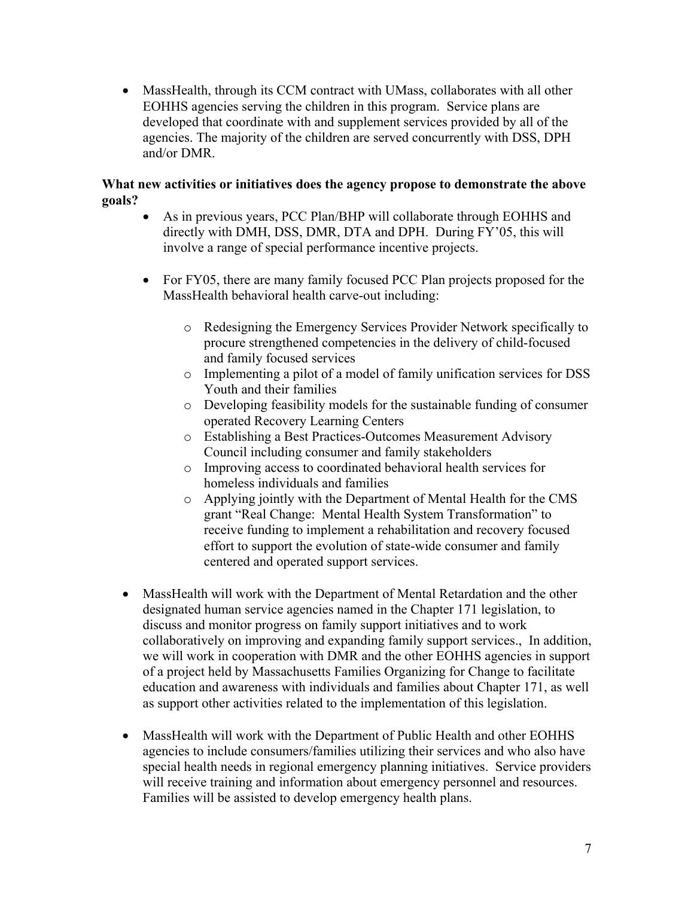• MassHealth, through its CCM contract with UMass, collaborates with all other EOHHS agencies serving the children in this program. Service plans are developed that coordinate with and supplement services provided by all of the agencies. The majority of the children are served concurrently with DSS, DPH and/or DMR.

## **What new activities or initiatives does the agency propose to demonstrate the above goals?**

- As in previous years, PCC Plan/BHP will collaborate through EOHHS and directly with DMH, DSS, DMR, DTA and DPH. During FY'05, this will involve a range of special performance incentive projects.
- For FY05, there are many family focused PCC Plan projects proposed for the MassHealth behavioral health carve-out including:
	- o Redesigning the Emergency Services Provider Network specifically to procure strengthened competencies in the delivery of child-focused and family focused services
	- o Implementing a pilot of a model of family unification services for DSS Youth and their families
	- o Developing feasibility models for the sustainable funding of consumer operated Recovery Learning Centers
	- o Establishing a Best Practices-Outcomes Measurement Advisory Council including consumer and family stakeholders
	- o Improving access to coordinated behavioral health services for homeless individuals and families
	- o Applying jointly with the Department of Mental Health for the CMS grant "Real Change: Mental Health System Transformation" to receive funding to implement a rehabilitation and recovery focused effort to support the evolution of state-wide consumer and family centered and operated support services.
- MassHealth will work with the Department of Mental Retardation and the other designated human service agencies named in the Chapter 171 legislation, to discuss and monitor progress on family support initiatives and to work collaboratively on improving and expanding family support services., In addition, we will work in cooperation with DMR and the other EOHHS agencies in support of a project held by Massachusetts Families Organizing for Change to facilitate education and awareness with individuals and families about Chapter 171, as well as support other activities related to the implementation of this legislation.
- MassHealth will work with the Department of Public Health and other EOHHS agencies to include consumers/families utilizing their services and who also have special health needs in regional emergency planning initiatives. Service providers will receive training and information about emergency personnel and resources. Families will be assisted to develop emergency health plans.